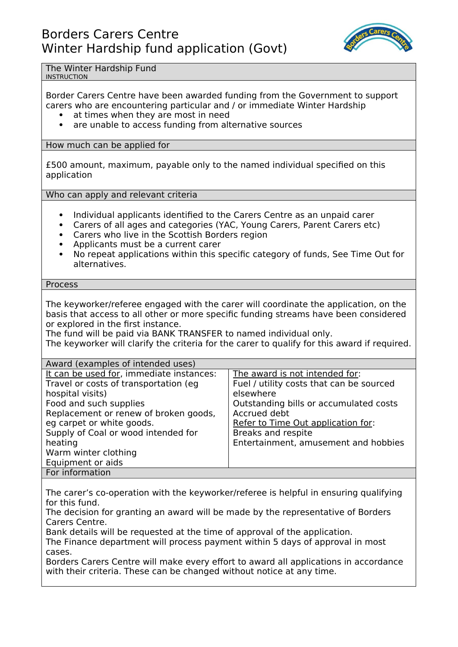

The Winter Hardship Fund

## INSTRUCTION

Border Carers Centre have been awarded funding from the Government to support carers who are encountering particular and / or immediate Winter Hardship

- at times when they are most in need
- are unable to access funding from alternative sources

How much can be applied for

£500 amount, maximum, payable only to the named individual specified on this application

Who can apply and relevant criteria

- Individual applicants identified to the Carers Centre as an unpaid carer
- Carers of all ages and categories (YAC, Young Carers, Parent Carers etc)
- Carers who live in the Scottish Borders region
- Applicants must be a current carer
- No repeat applications within this specific category of funds, See Time Out for alternatives.

Process

The keyworker/referee engaged with the carer will coordinate the application, on the basis that access to all other or more specific funding streams have been considered or explored in the first instance.

The fund will be paid via BANK TRANSFER to named individual only.

The keyworker will clarify the criteria for the carer to qualify for this award if required.

| Award (examples of intended uses)                                                                                                                                                                                                                                                                    |                                                                                                                                                                                                                                                       |
|------------------------------------------------------------------------------------------------------------------------------------------------------------------------------------------------------------------------------------------------------------------------------------------------------|-------------------------------------------------------------------------------------------------------------------------------------------------------------------------------------------------------------------------------------------------------|
| It can be used for, immediate instances:<br>Travel or costs of transportation (eg<br>hospital visits)<br>Food and such supplies<br>Replacement or renew of broken goods,<br>eg carpet or white goods.<br>Supply of Coal or wood intended for<br>heating<br>Warm winter clothing<br>Equipment or aids | The award is not intended for:<br>Fuel / utility costs that can be sourced<br>elsewhere<br>Outstanding bills or accumulated costs<br>Accrued debt<br>Refer to Time Out application for:<br>Breaks and respite<br>Entertainment, amusement and hobbies |
| For information                                                                                                                                                                                                                                                                                      |                                                                                                                                                                                                                                                       |

The carer's co-operation with the keyworker/referee is helpful in ensuring qualifying for this fund.

The decision for granting an award will be made by the representative of Borders Carers Centre.

Bank details will be requested at the time of approval of the application.

The Finance department will process payment within 5 days of approval in most cases.

Borders Carers Centre will make every effort to award all applications in accordance with their criteria. These can be changed without notice at any time.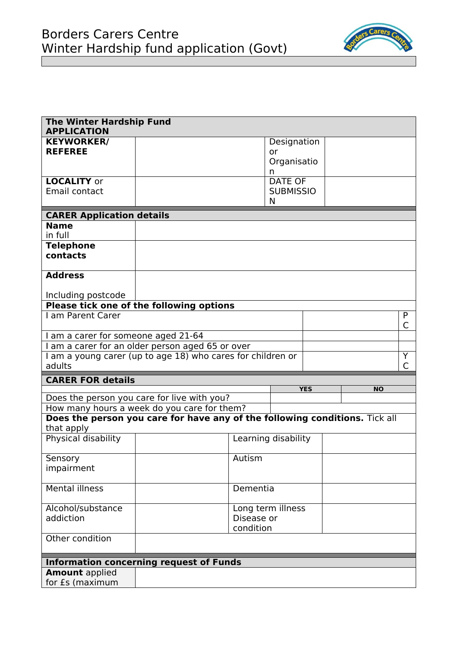

| <b>The Winter Hardship Fund</b><br><b>APPLICATION</b> |                                                                             |           |                     |            |           |        |
|-------------------------------------------------------|-----------------------------------------------------------------------------|-----------|---------------------|------------|-----------|--------|
| <b>KEYWORKER/</b>                                     |                                                                             |           | Designation         |            |           |        |
| <b>REFEREE</b>                                        |                                                                             |           | or                  |            |           |        |
|                                                       |                                                                             |           | Organisatio<br>n    |            |           |        |
| <b>LOCALITY or</b>                                    |                                                                             |           | <b>DATE OF</b>      |            |           |        |
| Email contact                                         |                                                                             |           | <b>SUBMISSIO</b>    |            |           |        |
|                                                       |                                                                             |           | N                   |            |           |        |
| <b>CARER Application details</b>                      |                                                                             |           |                     |            |           |        |
| <b>Name</b>                                           |                                                                             |           |                     |            |           |        |
| in full                                               |                                                                             |           |                     |            |           |        |
| <b>Telephone</b><br>contacts                          |                                                                             |           |                     |            |           |        |
|                                                       |                                                                             |           |                     |            |           |        |
| <b>Address</b>                                        |                                                                             |           |                     |            |           |        |
|                                                       |                                                                             |           |                     |            |           |        |
| Including postcode                                    |                                                                             |           |                     |            |           |        |
|                                                       | Please tick one of the following options                                    |           |                     |            |           |        |
| I am Parent Carer                                     |                                                                             |           |                     |            |           | P<br>C |
| I am a carer for someone aged 21-64                   |                                                                             |           |                     |            |           |        |
|                                                       | I am a carer for an older person aged 65 or over                            |           |                     |            |           |        |
|                                                       | I am a young carer (up to age 18) who cares for children or                 |           |                     |            |           | Y      |
| adults                                                |                                                                             |           |                     |            |           | C      |
| <b>CARER FOR details</b>                              |                                                                             |           |                     | <b>YES</b> | <b>NO</b> |        |
|                                                       | Does the person you care for live with you?                                 |           |                     |            |           |        |
|                                                       | How many hours a week do you care for them?                                 |           |                     |            |           |        |
|                                                       | Does the person you care for have any of the following conditions. Tick all |           |                     |            |           |        |
| that apply                                            |                                                                             |           |                     |            |           |        |
| Physical disability                                   |                                                                             |           | Learning disability |            |           |        |
| Sensory                                               |                                                                             | Autism    |                     |            |           |        |
| impairment                                            |                                                                             |           |                     |            |           |        |
|                                                       |                                                                             |           |                     |            |           |        |
| <b>Mental illness</b>                                 |                                                                             | Dementia  |                     |            |           |        |
| Alcohol/substance                                     | Long term illness                                                           |           |                     |            |           |        |
| addiction                                             | Disease or                                                                  |           |                     |            |           |        |
|                                                       |                                                                             | condition |                     |            |           |        |
| Other condition                                       |                                                                             |           |                     |            |           |        |
|                                                       |                                                                             |           |                     |            |           |        |
|                                                       | <b>Information concerning request of Funds</b>                              |           |                     |            |           |        |
| <b>Amount</b> applied<br>for £s (maximum              |                                                                             |           |                     |            |           |        |
|                                                       |                                                                             |           |                     |            |           |        |